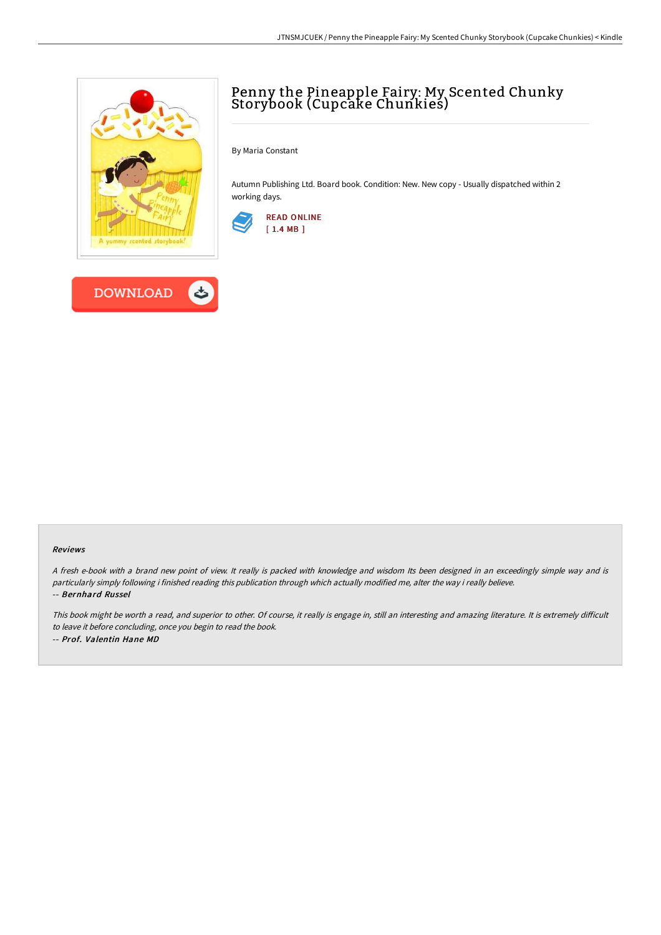

## Penny the Pineapple Fairy: My Scented Chunky Storybook (Cupcake Chunkies)

By Maria Constant

Autumn Publishing Ltd. Board book. Condition: New. New copy - Usually dispatched within 2 working days.



#### Reviews

<sup>A</sup> fresh e-book with <sup>a</sup> brand new point of view. It really is packed with knowledge and wisdom Its been designed in an exceedingly simple way and is particularly simply following i finished reading this publication through which actually modified me, alter the way i really believe. -- Bernhard Russel

This book might be worth a read, and superior to other. Of course, it really is engage in, still an interesting and amazing literature. It is extremely difficult to leave it before concluding, once you begin to read the book. -- Prof. Valentin Hane MD